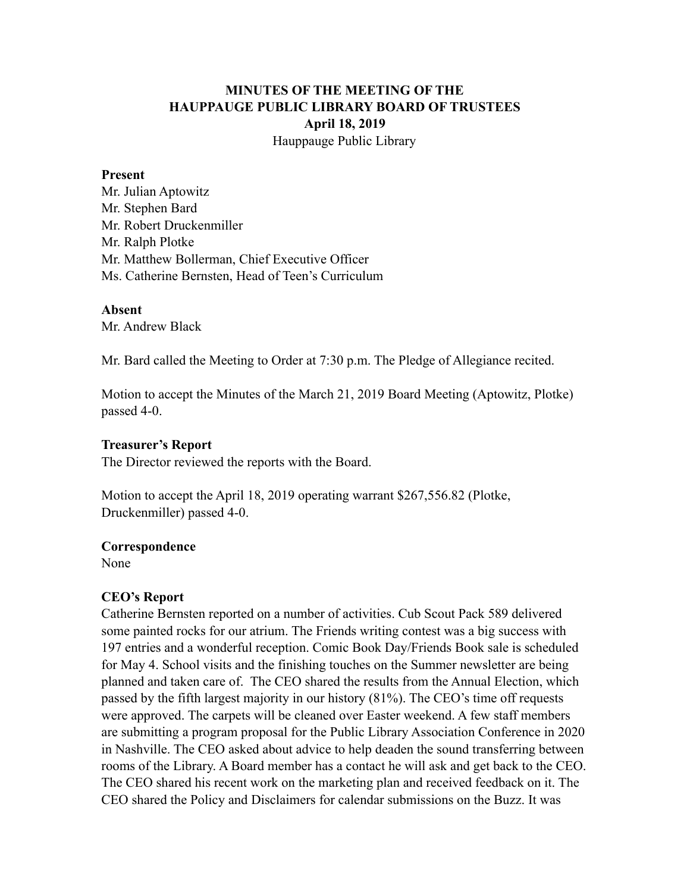# **MINUTES OF THE MEETING OF THE HAUPPAUGE PUBLIC LIBRARY BOARD OF TRUSTEES April 18, 2019** Hauppauge Public Library

#### **Present**

Mr. Julian Aptowitz Mr. Stephen Bard Mr. Robert Druckenmiller Mr. Ralph Plotke Mr. Matthew Bollerman, Chief Executive Officer Ms. Catherine Bernsten, Head of Teen's Curriculum

### **Absent**

Mr. Andrew Black

Mr. Bard called the Meeting to Order at 7:30 p.m. The Pledge of Allegiance recited.

Motion to accept the Minutes of the March 21, 2019 Board Meeting (Aptowitz, Plotke) passed 4-0.

#### **Treasurer's Report**

The Director reviewed the reports with the Board.

Motion to accept the April 18, 2019 operating warrant \$267,556.82 (Plotke, Druckenmiller) passed 4-0.

### **Correspondence**

None

### **CEO's Report**

Catherine Bernsten reported on a number of activities. Cub Scout Pack 589 delivered some painted rocks for our atrium. The Friends writing contest was a big success with 197 entries and a wonderful reception. Comic Book Day/Friends Book sale is scheduled for May 4. School visits and the finishing touches on the Summer newsletter are being planned and taken care of. The CEO shared the results from the Annual Election, which passed by the fifth largest majority in our history (81%). The CEO's time off requests were approved. The carpets will be cleaned over Easter weekend. A few staff members are submitting a program proposal for the Public Library Association Conference in 2020 in Nashville. The CEO asked about advice to help deaden the sound transferring between rooms of the Library. A Board member has a contact he will ask and get back to the CEO. The CEO shared his recent work on the marketing plan and received feedback on it. The CEO shared the Policy and Disclaimers for calendar submissions on the Buzz. It was